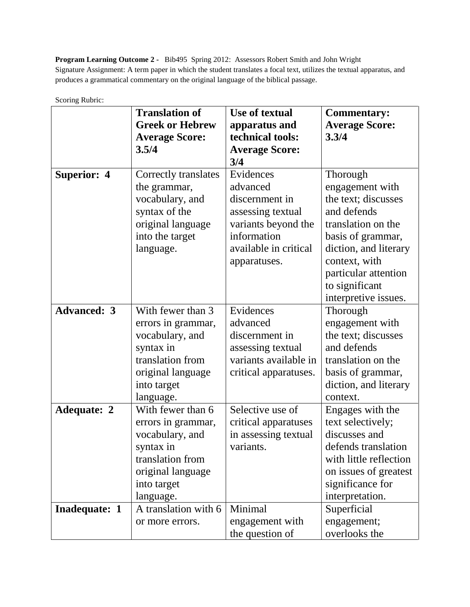**Program Learning Outcome 2 -** Bib495 Spring 2012: Assessors Robert Smith and John Wright Signature Assignment: A term paper in which the student translates a focal text, utilizes the textual apparatus, and produces a grammatical commentary on the original language of the biblical passage.

| SCOTTING KUOTIC.     | <b>Translation of</b>  | <b>Use of textual</b> | <b>Commentary:</b>     |
|----------------------|------------------------|-----------------------|------------------------|
|                      | <b>Greek or Hebrew</b> | apparatus and         | <b>Average Score:</b>  |
|                      | <b>Average Score:</b>  | technical tools:      | 3.3/4                  |
|                      | 3.5/4                  | <b>Average Score:</b> |                        |
|                      |                        | 3/4                   |                        |
| <b>Superior: 4</b>   | Correctly translates   | Evidences             | Thorough               |
|                      | the grammar,           | advanced              | engagement with        |
|                      | vocabulary, and        | discernment in        | the text; discusses    |
|                      | syntax of the          | assessing textual     | and defends            |
|                      | original language      | variants beyond the   | translation on the     |
|                      | into the target        | information           | basis of grammar,      |
|                      | language.              | available in critical | diction, and literary  |
|                      |                        | apparatuses.          | context, with          |
|                      |                        |                       | particular attention   |
|                      |                        |                       | to significant         |
|                      |                        |                       | interpretive issues.   |
| <b>Advanced: 3</b>   | With fewer than 3      | Evidences             | Thorough               |
|                      | errors in grammar,     | advanced              | engagement with        |
|                      | vocabulary, and        | discernment in        | the text; discusses    |
|                      | syntax in              | assessing textual     | and defends            |
|                      | translation from       | variants available in | translation on the     |
|                      | original language      | critical apparatuses. | basis of grammar,      |
|                      | into target            |                       | diction, and literary  |
|                      | language.              |                       | context.               |
| <b>Adequate: 2</b>   | With fewer than 6      | Selective use of      | Engages with the       |
|                      | errors in grammar,     | critical apparatuses  | text selectively;      |
|                      | vocabulary, and        | in assessing textual  | discusses and          |
|                      | syntax in              | variants.             | defends translation    |
|                      | translation from       |                       | with little reflection |
|                      | original language      |                       | on issues of greatest  |
|                      | into target            |                       | significance for       |
|                      | language.              |                       | interpretation.        |
| <b>Inadequate: 1</b> | A translation with 6   | Minimal               | Superficial            |
|                      | or more errors.        | engagement with       | engagement;            |
|                      |                        | the question of       | overlooks the          |

Scoring Rubric: